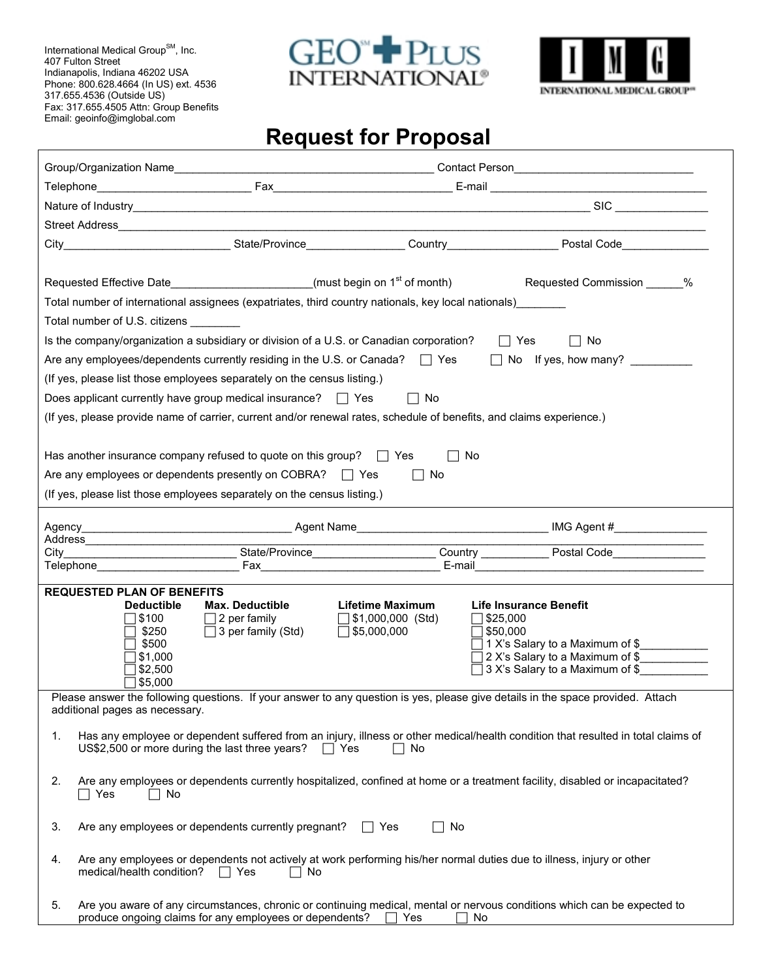International Medical Group<sup>SM</sup>, Inc. 407 Fulton Street Indianapolis, Indiana 46202 USA Phone: 800.628.4664 (In US) ext. 4536 317.655.4536 (Outside US) Fax: 317.655.4505 Attn: Group Benefits Email: geoinfo@imglobal.com

**r** 





## **Request for Proposal**

|                                                                                                                             |                                                  |                                                | City_________________________________State/Province__________________Country______________________Postal Code____________________     |
|-----------------------------------------------------------------------------------------------------------------------------|--------------------------------------------------|------------------------------------------------|---------------------------------------------------------------------------------------------------------------------------------------|
|                                                                                                                             |                                                  |                                                |                                                                                                                                       |
| Requested Effective Date <b>Example 2</b> (must begin on 1 <sup>st</sup> of month)                                          |                                                  |                                                | Requested Commission ______%                                                                                                          |
| Total number of international assignees (expatriates, third country nationals, key local nationals)                         |                                                  |                                                |                                                                                                                                       |
| Total number of U.S. citizens                                                                                               |                                                  |                                                |                                                                                                                                       |
| Is the company/organization a subsidiary or division of a U.S. or Canadian corporation?                                     |                                                  |                                                | $\Box$ Yes<br>$\Box$ No                                                                                                               |
|                                                                                                                             |                                                  |                                                | Are any employees/dependents currently residing in the U.S. or Canada? $\Box$ Yes $\Box$ No If yes, how many?                         |
| (If yes, please list those employees separately on the census listing.)                                                     |                                                  |                                                |                                                                                                                                       |
| Does applicant currently have group medical insurance? $\Box$ Yes                                                           |                                                  | $\Box$ No                                      |                                                                                                                                       |
| (If yes, please provide name of carrier, current and/or renewal rates, schedule of benefits, and claims experience.)        |                                                  |                                                |                                                                                                                                       |
|                                                                                                                             |                                                  |                                                |                                                                                                                                       |
| Has another insurance company refused to quote on this group? $\Box$ Yes                                                    |                                                  | $\Box$ No                                      |                                                                                                                                       |
| Are any employees or dependents presently on COBRA? $\Box$ Yes                                                              |                                                  | $\Box$ No                                      |                                                                                                                                       |
| (If yes, please list those employees separately on the census listing.)                                                     |                                                  |                                                |                                                                                                                                       |
|                                                                                                                             |                                                  |                                                |                                                                                                                                       |
|                                                                                                                             |                                                  |                                                |                                                                                                                                       |
|                                                                                                                             |                                                  |                                                | City City Current Collection Country Country Postal Code                                                                              |
|                                                                                                                             |                                                  |                                                |                                                                                                                                       |
| <b>REQUESTED PLAN OF BENEFITS</b>                                                                                           |                                                  |                                                |                                                                                                                                       |
| <b>Deductible</b>                                                                                                           | <b>Max. Deductible</b>                           | <b>Lifetime Maximum</b>                        | <b>Life Insurance Benefit</b>                                                                                                         |
| ∏ \$100<br>\$250                                                                                                            | $\Box$ 2 per family<br>$\Box$ 3 per family (Std) | $\Box$ \$1,000,000 (Std)<br>$\Box$ \$5,000,000 | $\Box$ \$25,000<br>$\sqsupset$ \$50,000                                                                                               |
| \$500                                                                                                                       |                                                  |                                                | 1 X's Salary to a Maximum of \$                                                                                                       |
| 51,000                                                                                                                      |                                                  |                                                | 2 X's Salary to a Maximum of \$                                                                                                       |
| \$2,500<br>\$5,000                                                                                                          |                                                  |                                                | 3 X's Salary to a Maximum of \$                                                                                                       |
|                                                                                                                             |                                                  |                                                | Please answer the following questions. If your answer to any question is yes, please give details in the space provided. Attach       |
| additional pages as necessary.                                                                                              |                                                  |                                                |                                                                                                                                       |
| 1.                                                                                                                          |                                                  |                                                | Has any employee or dependent suffered from an injury, illness or other medical/health condition that resulted in total claims of     |
| US\$2,500 or more during the last three years?                                                                              |                                                  | $\Box$ Yes<br>No                               |                                                                                                                                       |
|                                                                                                                             |                                                  |                                                |                                                                                                                                       |
| 2.<br>Yes<br>No                                                                                                             |                                                  |                                                | Are any employees or dependents currently hospitalized, confined at home or a treatment facility, disabled or incapacitated?          |
|                                                                                                                             |                                                  |                                                |                                                                                                                                       |
| Are any employees or dependents currently pregnant?<br>3.                                                                   |                                                  | $\Box$ No<br>∣∣Yes                             |                                                                                                                                       |
|                                                                                                                             |                                                  |                                                |                                                                                                                                       |
| Are any employees or dependents not actively at work performing his/her normal duties due to illness, injury or other<br>4. |                                                  |                                                |                                                                                                                                       |
| medical/health condition?                                                                                                   | $\Box$ Yes<br>$\Box$ No                          |                                                |                                                                                                                                       |
| 5.<br>produce ongoing claims for any employees or dependents?                                                               |                                                  | $\Box$ Yes                                     | Are you aware of any circumstances, chronic or continuing medical, mental or nervous conditions which can be expected to<br>$\Box$ No |